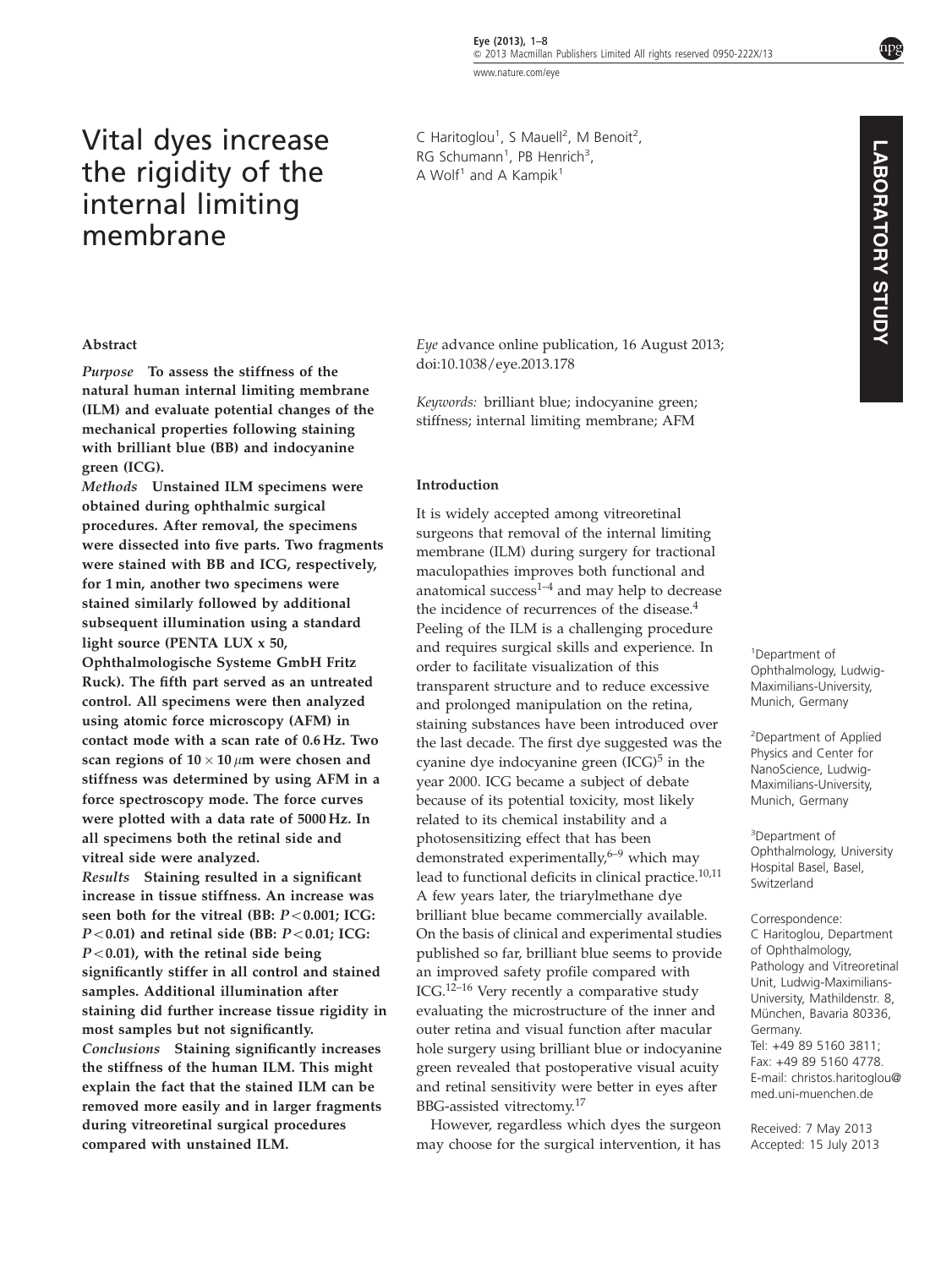C Haritoglou<sup>1</sup>, S Mauell<sup>2</sup>, M Benoit<sup>2</sup>, RG Schumann<sup>1</sup>, PB Henrich<sup>3</sup>, A Wolf<sup>1</sup> and A Kampik<sup>1</sup>

npg

# Vital dyes increase the rigidity of the internal limiting membrane

## **Abstract**

Purpose To assess the stiffness of the natural human internal limiting membrane (ILM) and evaluate potential changes of the mechanical properties following staining with brilliant blue (BB) and indocyanine green (ICG).

Methods Unstained ILM specimens were obtained during ophthalmic surgical procedures. After removal, the specimens were dissected into five parts. Two fragments were stained with BB and ICG, respectively, for 1 min, another two specimens were stained similarly followed by additional subsequent illumination using a standard light source (PENTA LUX x 50, Ophthalmologische Systeme GmbH Fritz Ruck). The fifth part served as an untreated control. All specimens were then analyzed using atomic force microscopy (AFM) in contact mode with a scan rate of 0.6 Hz. Two scan regions of 10  $\times$  10  $\mu$ m were chosen and stiffness was determined by using AFM in a force spectroscopy mode. The force curves were plotted with a data rate of 5000 Hz. In all specimens both the retinal side and vitreal side were analyzed. Results Staining resulted in a significant increase in tissue stiffness. An increase was seen both for the vitreal (BB:  $P < 0.001$ ; ICG:  $P<0.01$ ) and retinal side (BB:  $P<0.01$ ; ICG:  $P<0.01$ , with the retinal side being significantly stiffer in all control and stained samples. Additional illumination after staining did further increase tissue rigidity in most samples but not significantly. Conclusions Staining significantly increases the stiffness of the human ILM. This might explain the fact that the stained ILM can be removed more easily and in larger fragments during vitreoretinal surgical procedures compared with unstained ILM.

Eye advance online publication, 16 August 2013; doi:[10.1038/eye.2013.178](http://dx.doi.org/10.1038/eye.2013.178)

Keywords: brilliant blue; indocyanine green; stiffness; internal limiting membrane; AFM

#### Introduction

It is widely accepted among vitreoretinal surgeons that removal of the internal limiting membrane (ILM) during surgery for tractional maculopathies improves both functional and anatomical success $1-4$  and may help to decrease the incidence of recurrences of the disease. $4$ Peeling of the ILM is a challenging procedure and requires surgical skills and experience. In order to facilitate visualization of this transparent structure and to reduce excessive and prolonged manipulation on the retina, staining substances have been introduced over the last decade. The first dye suggested was the cyanine dye indocyanine green  $(ICG)^5$  in the year 2000. ICG became a subject of debate because of its potential toxicity, most likely related to its chemical instability and a photosensitizing effect that has been demonstrated experimentally, $6-9$  which may lead to functional deficits in clinical practice.<sup>[10,11](#page-6-0)</sup> A few years later, the triarylmethane dye brilliant blue became commercially available. On the basis of clinical and experimental studies published so far, brilliant blue seems to provide an improved safety profile compared with ICG.[12–16](#page-6-0) Very recently a comparative study evaluating the microstructure of the inner and outer retina and visual function after macular hole surgery using brilliant blue or indocyanine green revealed that postoperative visual acuity and retinal sensitivity were better in eyes after BBG-assisted vitrectomy.[17](#page-6-0)

However, regardless which dyes the surgeon may choose for the surgical intervention, it has

1 Department of Ophthalmology, Ludwig-Maximilians-University, Munich, Germany

2 Department of Applied Physics and Center for NanoScience, Ludwig-Maximilians-University, Munich, Germany

3 Department of Ophthalmology, University Hospital Basel, Basel, Switzerland

Correspondence: C Haritoglou, Department of Ophthalmology, Pathology and Vitreoretinal Unit, Ludwig-Maximilians-University, Mathildenstr. 8, München, Bavaria 80336, Germany. Tel: +49 89 5160 3811; Fax: +49 89 5160 4778. E-mail: [christos.haritoglou@](mailto:christos.haritoglou@med.uni-muenchen.de) [med.uni-muenchen.de](mailto:christos.haritoglou@med.uni-muenchen.de) <sup>1</sup>Department of<br>
Optithalmology, Ludwig-<br>
Maximilians-University,<br>
Munich, Germany<br>
<sup>2</sup>Department of Applied<br>
Physics and Center for<br>
NanoScience, Ludwig-<br>
Maximilians-University,<br>
Munich, Germany<br>
<sup>3</sup>Department of<br>
Optit

Received: 7 May 2013 Accepted: 15 July 2013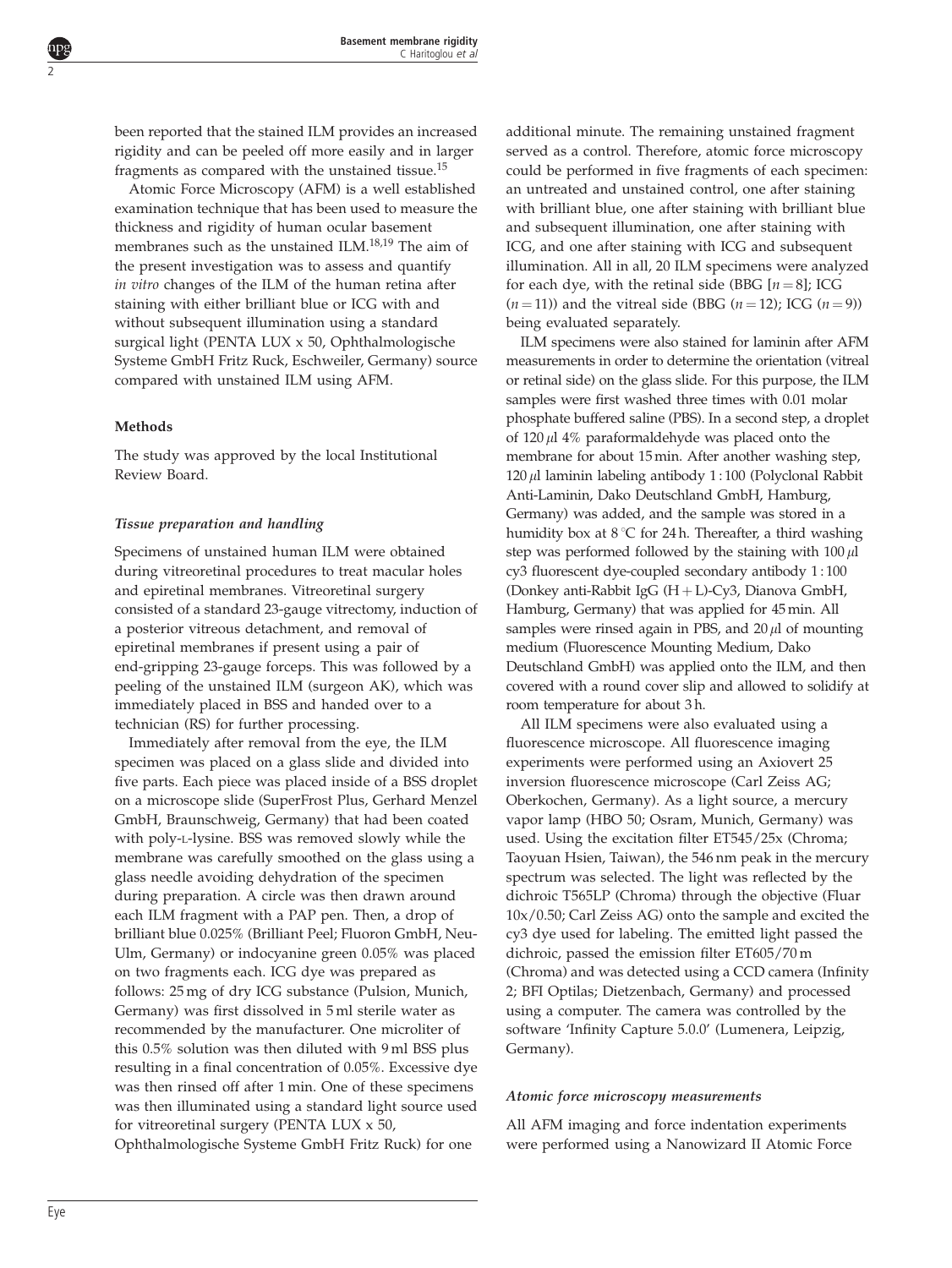been reported that the stained ILM provides an increased rigidity and can be peeled off more easily and in larger fragments as compared with the unstained tissue.[15](#page-6-0)

Atomic Force Microscopy (AFM) is a well established examination technique that has been used to measure the thickness and rigidity of human ocular basement membranes such as the unstained ILM[.18,19](#page-6-0) The aim of the present investigation was to assess and quantify in vitro changes of the ILM of the human retina after staining with either brilliant blue or ICG with and without subsequent illumination using a standard surgical light (PENTA LUX x 50, Ophthalmologische Systeme GmbH Fritz Ruck, Eschweiler, Germany) source compared with unstained ILM using AFM.

## Methods

2

The study was approved by the local Institutional Review Board.

## Tissue preparation and handling

Specimens of unstained human ILM were obtained during vitreoretinal procedures to treat macular holes and epiretinal membranes. Vitreoretinal surgery consisted of a standard 23-gauge vitrectomy, induction of a posterior vitreous detachment, and removal of epiretinal membranes if present using a pair of end-gripping 23-gauge forceps. This was followed by a peeling of the unstained ILM (surgeon AK), which was immediately placed in BSS and handed over to a technician (RS) for further processing.

Immediately after removal from the eye, the ILM specimen was placed on a glass slide and divided into five parts. Each piece was placed inside of a BSS droplet on a microscope slide (SuperFrost Plus, Gerhard Menzel GmbH, Braunschweig, Germany) that had been coated with poly-L-lysine. BSS was removed slowly while the membrane was carefully smoothed on the glass using a glass needle avoiding dehydration of the specimen during preparation. A circle was then drawn around each ILM fragment with a PAP pen. Then, a drop of brilliant blue 0.025% (Brilliant Peel; Fluoron GmbH, Neu-Ulm, Germany) or indocyanine green 0.05% was placed on two fragments each. ICG dye was prepared as follows: 25 mg of dry ICG substance (Pulsion, Munich, Germany) was first dissolved in 5 ml sterile water as recommended by the manufacturer. One microliter of this 0.5% solution was then diluted with 9 ml BSS plus resulting in a final concentration of 0.05%. Excessive dye was then rinsed off after 1 min. One of these specimens was then illuminated using a standard light source used for vitreoretinal surgery (PENTA LUX x 50, Ophthalmologische Systeme GmbH Fritz Ruck) for one

additional minute. The remaining unstained fragment served as a control. Therefore, atomic force microscopy could be performed in five fragments of each specimen: an untreated and unstained control, one after staining with brilliant blue, one after staining with brilliant blue and subsequent illumination, one after staining with ICG, and one after staining with ICG and subsequent illumination. All in all, 20 ILM specimens were analyzed for each dye, with the retinal side (BBG  $[n=8]$ ; ICG  $(n = 11)$ ) and the vitreal side (BBG  $(n = 12)$ ; ICG  $(n = 9)$ ) being evaluated separately.

ILM specimens were also stained for laminin after AFM measurements in order to determine the orientation (vitreal or retinal side) on the glass slide. For this purpose, the ILM samples were first washed three times with 0.01 molar phosphate buffered saline (PBS). In a second step, a droplet of  $120 \mu$ l 4% paraformaldehyde was placed onto the membrane for about 15 min. After another washing step,  $120 \,\mu$ l laminin labeling antibody 1:100 (Polyclonal Rabbit Anti-Laminin, Dako Deutschland GmbH, Hamburg, Germany) was added, and the sample was stored in a humidity box at  $8^{\circ}$ C for 24 h. Thereafter, a third washing step was performed followed by the staining with  $100 \mu$ l cy3 fluorescent dye-coupled secondary antibody 1 : 100 (Donkey anti-Rabbit IgG  $(H + L)$ -Cy3, Dianova GmbH, Hamburg, Germany) that was applied for 45 min. All samples were rinsed again in PBS, and  $20 \mu l$  of mounting medium (Fluorescence Mounting Medium, Dako Deutschland GmbH) was applied onto the ILM, and then covered with a round cover slip and allowed to solidify at room temperature for about 3 h.

All ILM specimens were also evaluated using a fluorescence microscope. All fluorescence imaging experiments were performed using an Axiovert 25 inversion fluorescence microscope (Carl Zeiss AG; Oberkochen, Germany). As a light source, a mercury vapor lamp (HBO 50; Osram, Munich, Germany) was used. Using the excitation filter ET545/25x (Chroma; Taoyuan Hsien, Taiwan), the 546 nm peak in the mercury spectrum was selected. The light was reflected by the dichroic T565LP (Chroma) through the objective (Fluar 10x/0.50; Carl Zeiss AG) onto the sample and excited the cy3 dye used for labeling. The emitted light passed the dichroic, passed the emission filter ET605/70 m (Chroma) and was detected using a CCD camera (Infinity 2; BFI Optilas; Dietzenbach, Germany) and processed using a computer. The camera was controlled by the software 'Infinity Capture 5.0.0' (Lumenera, Leipzig, Germany).

#### Atomic force microscopy measurements

All AFM imaging and force indentation experiments were performed using a Nanowizard II Atomic Force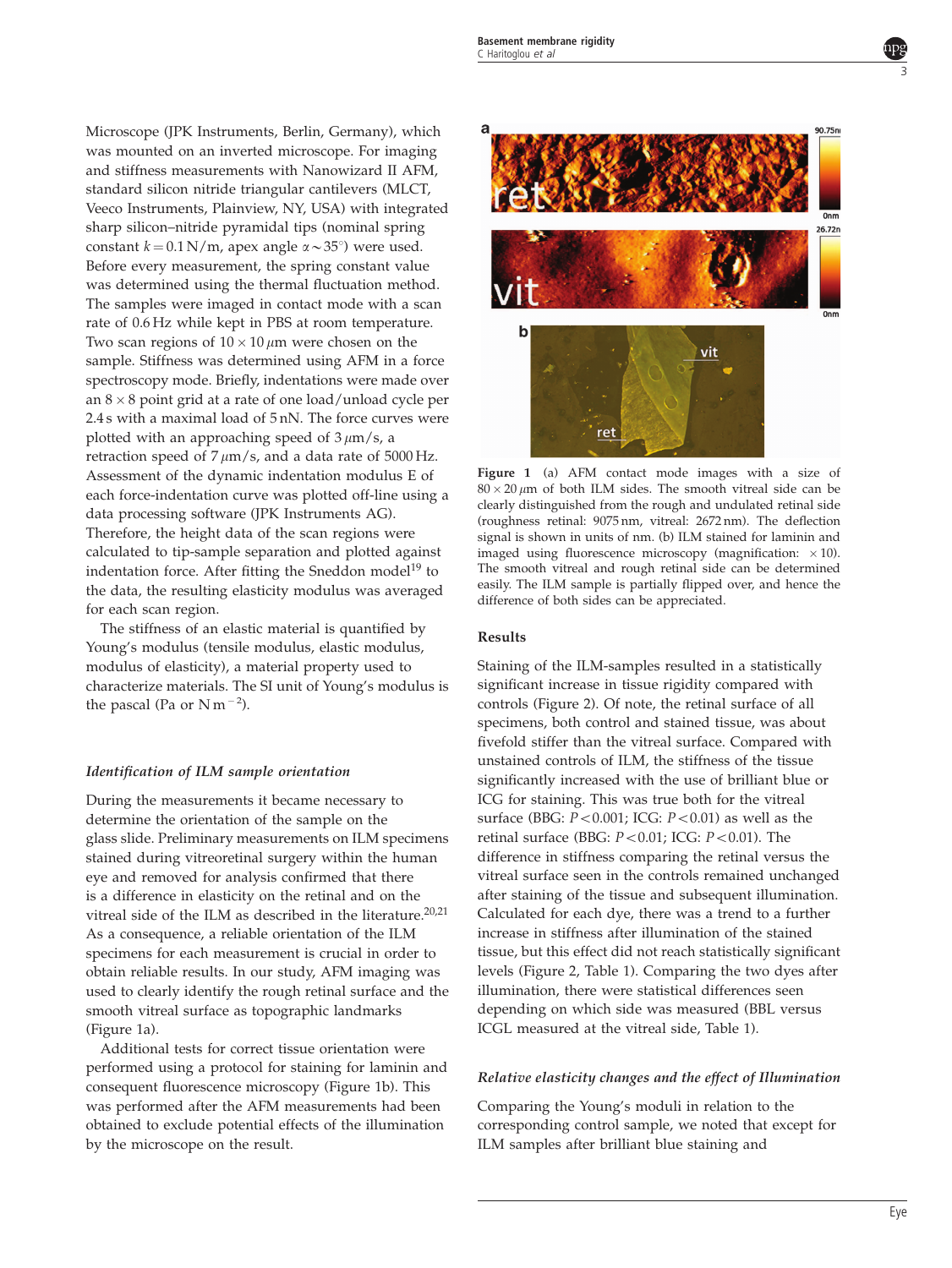Microscope (JPK Instruments, Berlin, Germany), which was mounted on an inverted microscope. For imaging and stiffness measurements with Nanowizard II AFM, standard silicon nitride triangular cantilevers (MLCT, Veeco Instruments, Plainview, NY, USA) with integrated sharp silicon–nitride pyramidal tips (nominal spring constant  $k = 0.1$  N/m, apex angle  $\alpha \sim 35^{\circ}$ ) were used. Before every measurement, the spring constant value was determined using the thermal fluctuation method. The samples were imaged in contact mode with a scan rate of 0.6 Hz while kept in PBS at room temperature. Two scan regions of  $10 \times 10 \,\mu$ m were chosen on the sample. Stiffness was determined using AFM in a force spectroscopy mode. Briefly, indentations were made over an  $8\times8$  point grid at a rate of one load/unload cycle per 2.4 s with a maximal load of 5 nN. The force curves were plotted with an approaching speed of  $3 \mu m/s$ , a retraction speed of  $7 \mu m/s$ , and a data rate of 5000 Hz. Assessment of the dynamic indentation modulus E of each force-indentation curve was plotted off-line using a data processing software (JPK Instruments AG). Therefore, the height data of the scan regions were calculated to tip-sample separation and plotted against indentation force. After fitting the Sneddon model<sup>[19](#page-6-0)</sup> to the data, the resulting elasticity modulus was averaged for each scan region.

The stiffness of an elastic material is quantified by Young's modulus (tensile modulus, elastic modulus, modulus of elasticity), a material property used to characterize materials. The SI unit of Young's modulus is the pascal (Pa or  $N m^{-2}$ ).

## Identification of ILM sample orientation

During the measurements it became necessary to determine the orientation of the sample on the glass slide. Preliminary measurements on ILM specimens stained during vitreoretinal surgery within the human eye and removed for analysis confirmed that there is a difference in elasticity on the retinal and on the vitreal side of the ILM as described in the literature.<sup>20,21</sup> As a consequence, a reliable orientation of the ILM specimens for each measurement is crucial in order to obtain reliable results. In our study, AFM imaging was used to clearly identify the rough retinal surface and the smooth vitreal surface as topographic landmarks (Figure 1a).

Additional tests for correct tissue orientation were performed using a protocol for staining for laminin and consequent fluorescence microscopy (Figure 1b). This was performed after the AFM measurements had been obtained to exclude potential effects of the illumination by the microscope on the result.



Figure 1 (a) AFM contact mode images with a size of  $80 \times 20 \,\mu$ m of both ILM sides. The smooth vitreal side can be clearly distinguished from the rough and undulated retinal side (roughness retinal: 9075 nm, vitreal: 2672 nm). The deflection signal is shown in units of nm. (b) ILM stained for laminin and imaged using fluorescence microscopy (magnification:  $\times 10$ ). The smooth vitreal and rough retinal side can be determined easily. The ILM sample is partially flipped over, and hence the difference of both sides can be appreciated.

#### Results

Staining of the ILM-samples resulted in a statistically significant increase in tissue rigidity compared with controls ([Figure 2\)](#page-3-0). Of note, the retinal surface of all specimens, both control and stained tissue, was about fivefold stiffer than the vitreal surface. Compared with unstained controls of ILM, the stiffness of the tissue significantly increased with the use of brilliant blue or ICG for staining. This was true both for the vitreal surface (BBG:  $P < 0.001$ ; ICG:  $P < 0.01$ ) as well as the retinal surface (BBG:  $P < 0.01$ ; ICG:  $P < 0.01$ ). The difference in stiffness comparing the retinal versus the vitreal surface seen in the controls remained unchanged after staining of the tissue and subsequent illumination. Calculated for each dye, there was a trend to a further increase in stiffness after illumination of the stained tissue, but this effect did not reach statistically significant levels ([Figure 2, Table 1\)](#page-3-0). Comparing the two dyes after illumination, there were statistical differences seen depending on which side was measured (BBL versus ICGL measured at the vitreal side, [Table 1\)](#page-3-0).

## Relative elasticity changes and the effect of Illumination

Comparing the Young's moduli in relation to the corresponding control sample, we noted that except for ILM samples after brilliant blue staining and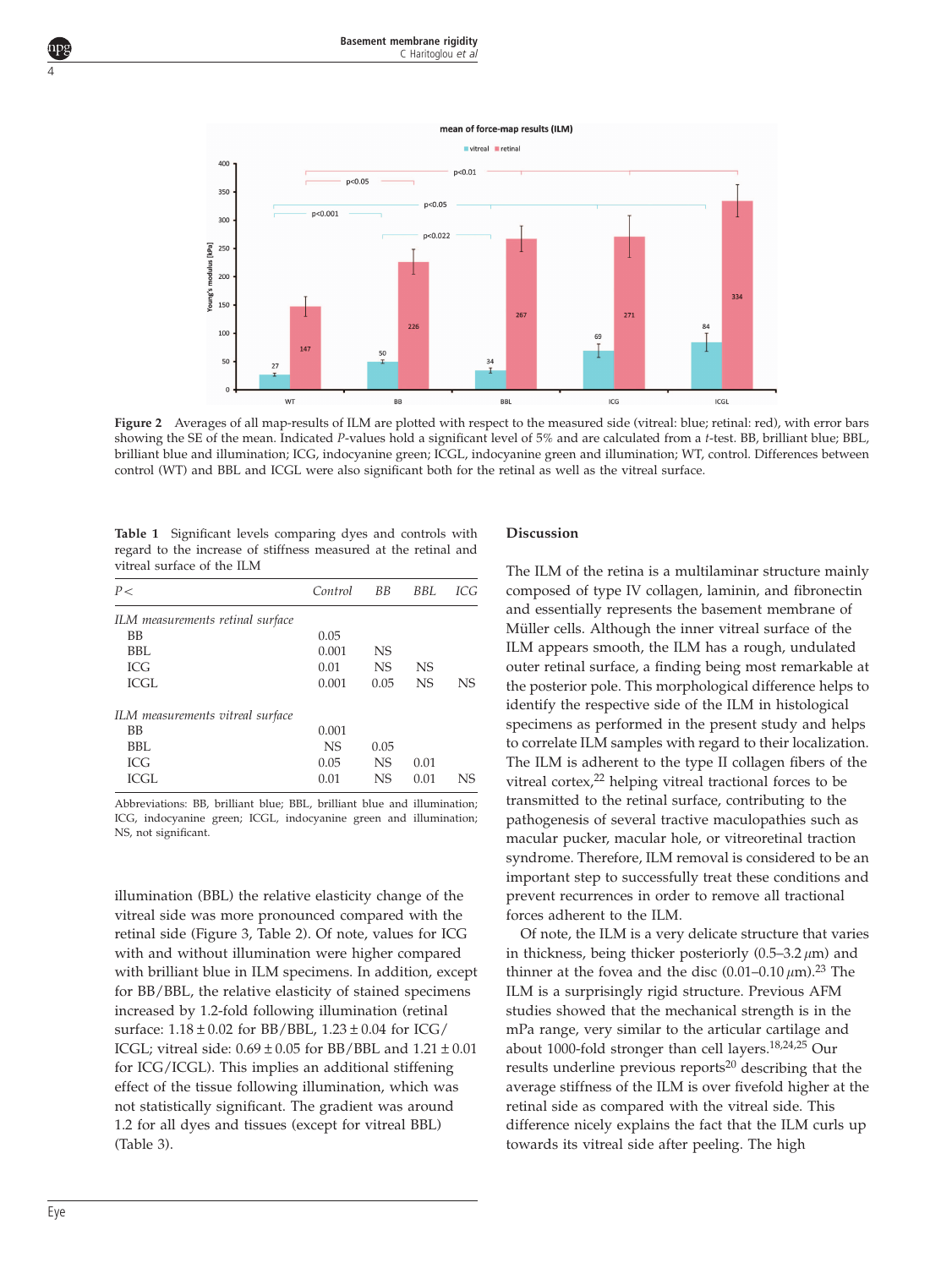



Figure 2 Averages of all map-results of ILM are plotted with respect to the measured side (vitreal: blue; retinal: red), with error bars showing the SE of the mean. Indicated P-values hold a significant level of 5% and are calculated from a t-test. BB, brilliant blue; BBL, brilliant blue and illumination; ICG, indocyanine green; ICGL, indocyanine green and illumination; WT, control. Differences between control (WT) and BBL and ICGL were also significant both for the retinal as well as the vitreal surface.

Table 1 Significant levels comparing dyes and controls with regard to the increase of stiffness measured at the retinal and vitreal surface of the ILM

| P                                | Control | <b>BB</b> | BBL       | ICG |
|----------------------------------|---------|-----------|-----------|-----|
| ILM measurements retinal surface |         |           |           |     |
| <b>BB</b>                        | 0.05    |           |           |     |
| BBL                              | 0.001   | NS        |           |     |
| <b>ICG</b>                       | 0.01    | <b>NS</b> | NS        |     |
| <b>ICGL</b>                      | 0.001   | 0.05      | <b>NS</b> | NS  |
| ILM measurements vitreal surface |         |           |           |     |
| <b>BB</b>                        | 0.001   |           |           |     |
| BBL                              | NS.     | 0.05      |           |     |
| <b>ICG</b>                       | 0.05    | <b>NS</b> | 0.01      |     |
| ICGL                             | 0.01    | <b>NS</b> | 0.01      | ΝS  |

Abbreviations: BB, brilliant blue; BBL, brilliant blue and illumination; ICG, indocyanine green; ICGL, indocyanine green and illumination; NS, not significant.

illumination (BBL) the relative elasticity change of the vitreal side was more pronounced compared with the retinal side ([Figure 3, Table 2](#page-4-0)). Of note, values for ICG with and without illumination were higher compared with brilliant blue in ILM specimens. In addition, except for BB/BBL, the relative elasticity of stained specimens increased by 1.2-fold following illumination (retinal surface:  $1.18 \pm 0.02$  for BB/BBL,  $1.23 \pm 0.04$  for ICG/ ICGL; vitreal side:  $0.69 \pm 0.05$  for BB/BBL and  $1.21 \pm 0.01$ for ICG/ICGL). This implies an additional stiffening effect of the tissue following illumination, which was not statistically significant. The gradient was around 1.2 for all dyes and tissues (except for vitreal BBL) ([Table 3](#page-4-0)).

## Discussion

The ILM of the retina is a multilaminar structure mainly composed of type IV collagen, laminin, and fibronectin and essentially represents the basement membrane of Müller cells. Although the inner vitreal surface of the ILM appears smooth, the ILM has a rough, undulated outer retinal surface, a finding being most remarkable at the posterior pole. This morphological difference helps to identify the respective side of the ILM in histological specimens as performed in the present study and helps to correlate ILM samples with regard to their localization. The ILM is adherent to the type II collagen fibers of the vitreal cortex, $22$  helping vitreal tractional forces to be transmitted to the retinal surface, contributing to the pathogenesis of several tractive maculopathies such as macular pucker, macular hole, or vitreoretinal traction syndrome. Therefore, ILM removal is considered to be an important step to successfully treat these conditions and prevent recurrences in order to remove all tractional forces adherent to the ILM.

Of note, the ILM is a very delicate structure that varies in thickness, being thicker posteriorly  $(0.5-3.2 \,\mu m)$  and thinner at the fovea and the disc  $(0.01-0.10 \,\mu m)^{23}$  The ILM is a surprisingly rigid structure. Previous AFM studies showed that the mechanical strength is in the mPa range, very similar to the articular cartilage and about 1000-fold stronger than cell layers.[18,24,25](#page-6-0) Our results underline previous reports<sup>20</sup> describing that the average stiffness of the ILM is over fivefold higher at the retinal side as compared with the vitreal side. This difference nicely explains the fact that the ILM curls up towards its vitreal side after peeling. The high

<span id="page-3-0"></span>4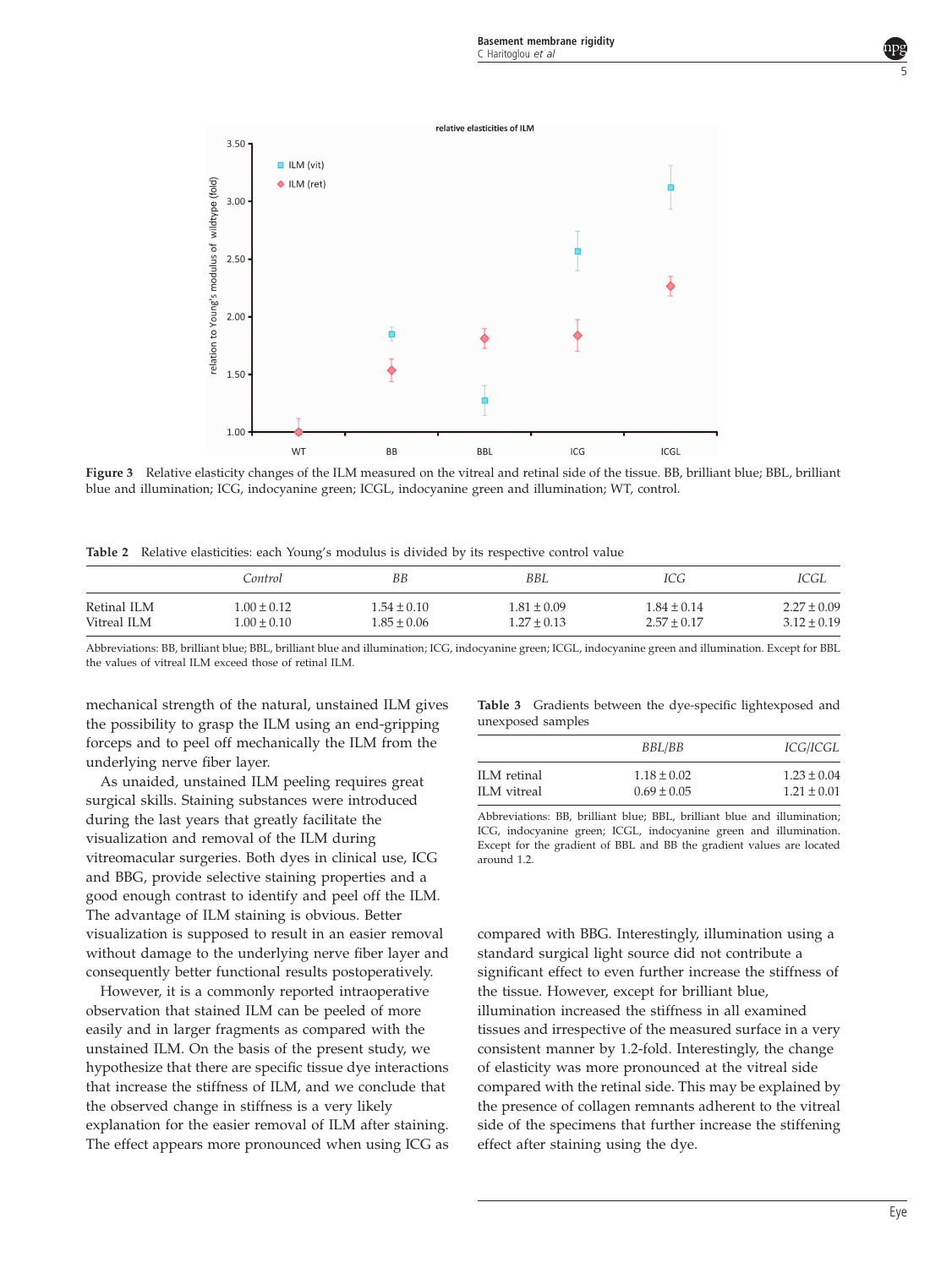

5

<span id="page-4-0"></span>

Figure 3 Relative elasticity changes of the ILM measured on the vitreal and retinal side of the tissue. BB, brilliant blue; BBL, brilliant blue and illumination; ICG, indocyanine green; ICGL, indocyanine green and illumination; WT, control.

|             | Control         | ΒB              | BBL             | ICG             | ICGL            |
|-------------|-----------------|-----------------|-----------------|-----------------|-----------------|
| Retinal ILM | $1.00 \pm 0.12$ | $1.54 \pm 0.10$ | $1.81 \pm 0.09$ | $1.84 \pm 0.14$ | $2.27 \pm 0.09$ |
| Vitreal ILM | $1.00 \pm 0.10$ | $1.85 \pm 0.06$ | $1.27 + 0.13$   | $2.57 \pm 0.17$ | $3.12 \pm 0.19$ |

Abbreviations: BB, brilliant blue; BBL, brilliant blue and illumination; ICG, indocyanine green; ICGL, indocyanine green and illumination. Except for BBL the values of vitreal ILM exceed those of retinal ILM.

mechanical strength of the natural, unstained ILM gives the possibility to grasp the ILM using an end-gripping forceps and to peel off mechanically the ILM from the underlying nerve fiber layer.

As unaided, unstained ILM peeling requires great surgical skills. Staining substances were introduced during the last years that greatly facilitate the visualization and removal of the ILM during vitreomacular surgeries. Both dyes in clinical use, ICG and BBG, provide selective staining properties and a good enough contrast to identify and peel off the ILM. The advantage of ILM staining is obvious. Better visualization is supposed to result in an easier removal without damage to the underlying nerve fiber layer and consequently better functional results postoperatively.

However, it is a commonly reported intraoperative observation that stained ILM can be peeled of more easily and in larger fragments as compared with the unstained ILM. On the basis of the present study, we hypothesize that there are specific tissue dye interactions that increase the stiffness of ILM, and we conclude that the observed change in stiffness is a very likely explanation for the easier removal of ILM after staining. The effect appears more pronounced when using ICG as Table 3 Gradients between the dye-specific lightexposed and unexposed samples

|             | <i>BBL/BB</i>   | <i>ICG/ICGL</i> |
|-------------|-----------------|-----------------|
| ILM retinal | $1.18 \pm 0.02$ | $1.23 \pm 0.04$ |
| ILM vitreal | $0.69 \pm 0.05$ | $1.21 \pm 0.01$ |

Abbreviations: BB, brilliant blue; BBL, brilliant blue and illumination; ICG, indocyanine green; ICGL, indocyanine green and illumination. Except for the gradient of BBL and BB the gradient values are located around 1.2.

compared with BBG. Interestingly, illumination using a standard surgical light source did not contribute a significant effect to even further increase the stiffness of the tissue. However, except for brilliant blue, illumination increased the stiffness in all examined tissues and irrespective of the measured surface in a very consistent manner by 1.2-fold. Interestingly, the change of elasticity was more pronounced at the vitreal side compared with the retinal side. This may be explained by the presence of collagen remnants adherent to the vitreal side of the specimens that further increase the stiffening effect after staining using the dye.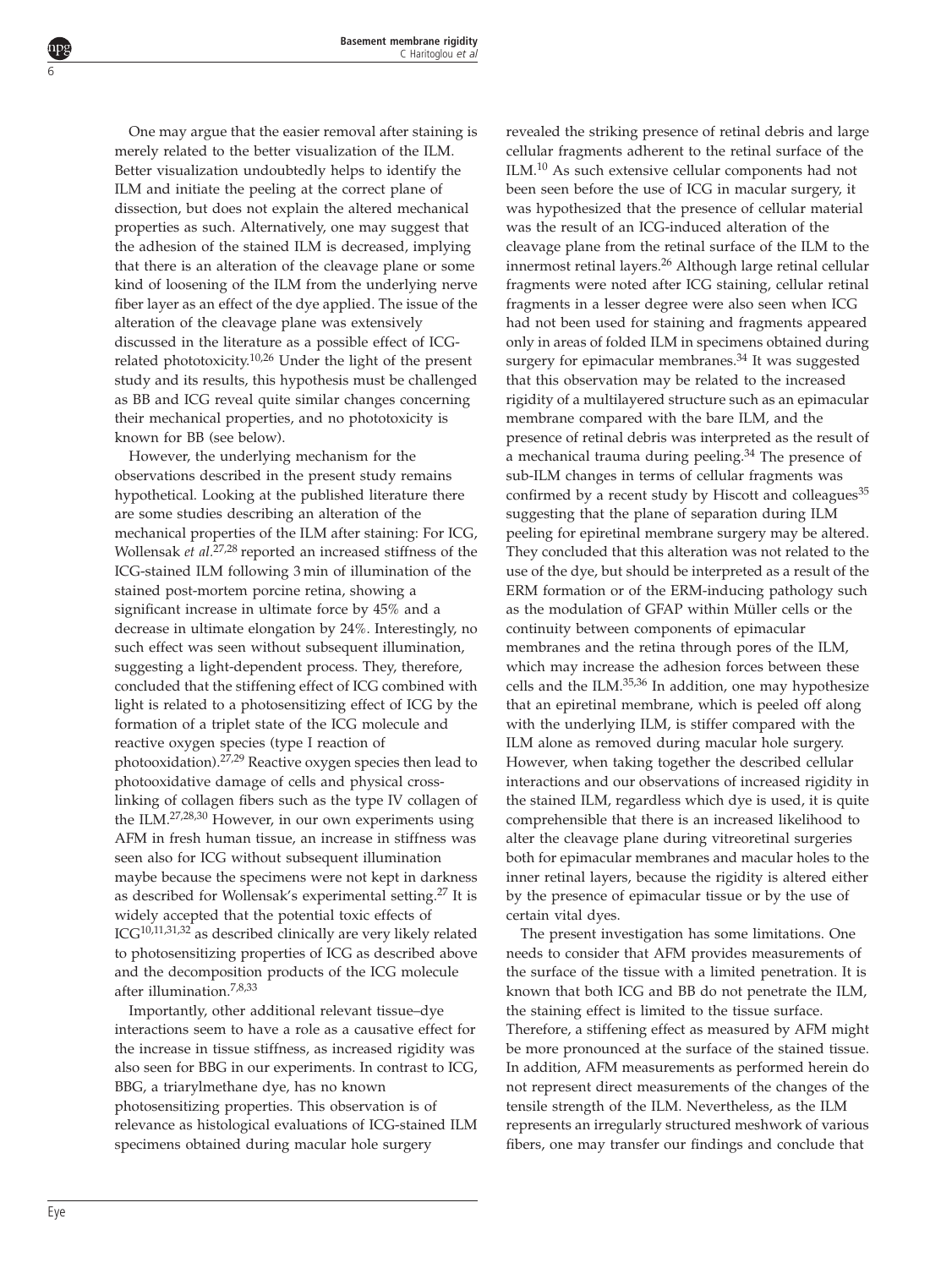One may argue that the easier removal after staining is merely related to the better visualization of the ILM. Better visualization undoubtedly helps to identify the ILM and initiate the peeling at the correct plane of dissection, but does not explain the altered mechanical properties as such. Alternatively, one may suggest that the adhesion of the stained ILM is decreased, implying that there is an alteration of the cleavage plane or some kind of loosening of the ILM from the underlying nerve fiber layer as an effect of the dye applied. The issue of the alteration of the cleavage plane was extensively discussed in the literature as a possible effect of ICGrelated phototoxicity.[10,26](#page-6-0) Under the light of the present study and its results, this hypothesis must be challenged as BB and ICG reveal quite similar changes concerning their mechanical properties, and no phototoxicity is known for BB (see below).

However, the underlying mechanism for the observations described in the present study remains hypothetical. Looking at the published literature there are some studies describing an alteration of the mechanical properties of the ILM after staining: For ICG, Wollensak et al.[27,28](#page-6-0) reported an increased stiffness of the ICG-stained ILM following 3 min of illumination of the stained post-mortem porcine retina, showing a significant increase in ultimate force by 45% and a decrease in ultimate elongation by 24%. Interestingly, no such effect was seen without subsequent illumination, suggesting a light-dependent process. They, therefore, concluded that the stiffening effect of ICG combined with light is related to a photosensitizing effect of ICG by the formation of a triplet state of the ICG molecule and reactive oxygen species (type I reaction of photooxidation).[27,29](#page-6-0) Reactive oxygen species then lead to photooxidative damage of cells and physical crosslinking of collagen fibers such as the type IV collagen of the ILM.<sup>27,28,30</sup> However, in our own experiments using AFM in fresh human tissue, an increase in stiffness was seen also for ICG without subsequent illumination maybe because the specimens were not kept in darkness as described for Wollensak's experimental setting.[27](#page-6-0) It is widely accepted that the potential toxic effects of ICG[10,11,31,32](#page-6-0) as described clinically are very likely related to photosensitizing properties of ICG as described above and the decomposition products of the ICG molecule after illumination.[7,8,33](#page-6-0)

Importantly, other additional relevant tissue–dye interactions seem to have a role as a causative effect for the increase in tissue stiffness, as increased rigidity was also seen for BBG in our experiments. In contrast to ICG, BBG, a triarylmethane dye, has no known photosensitizing properties. This observation is of relevance as histological evaluations of ICG-stained ILM specimens obtained during macular hole surgery

revealed the striking presence of retinal debris and large cellular fragments adherent to the retinal surface of the ILM.[10](#page-6-0) As such extensive cellular components had not been seen before the use of ICG in macular surgery, it was hypothesized that the presence of cellular material was the result of an ICG-induced alteration of the cleavage plane from the retinal surface of the ILM to the innermost retinal layers.[26](#page-6-0) Although large retinal cellular fragments were noted after ICG staining, cellular retinal fragments in a lesser degree were also seen when ICG had not been used for staining and fragments appeared only in areas of folded ILM in specimens obtained during surgery for epimacular membranes.<sup>[34](#page-7-0)</sup> It was suggested that this observation may be related to the increased rigidity of a multilayered structure such as an epimacular membrane compared with the bare ILM, and the presence of retinal debris was interpreted as the result of a mechanical trauma during peeling. $34$  The presence of sub-ILM changes in terms of cellular fragments was confirmed by a recent study by Hiscott and colleagues<sup>[35](#page-7-0)</sup> suggesting that the plane of separation during ILM peeling for epiretinal membrane surgery may be altered. They concluded that this alteration was not related to the use of the dye, but should be interpreted as a result of the ERM formation or of the ERM-inducing pathology such as the modulation of GFAP within Müller cells or the continuity between components of epimacular membranes and the retina through pores of the ILM, which may increase the adhesion forces between these cells and the ILM.[35,36](#page-7-0) In addition, one may hypothesize that an epiretinal membrane, which is peeled off along with the underlying ILM, is stiffer compared with the ILM alone as removed during macular hole surgery. However, when taking together the described cellular interactions and our observations of increased rigidity in the stained ILM, regardless which dye is used, it is quite comprehensible that there is an increased likelihood to alter the cleavage plane during vitreoretinal surgeries both for epimacular membranes and macular holes to the inner retinal layers, because the rigidity is altered either by the presence of epimacular tissue or by the use of certain vital dyes.

The present investigation has some limitations. One needs to consider that AFM provides measurements of the surface of the tissue with a limited penetration. It is known that both ICG and BB do not penetrate the ILM, the staining effect is limited to the tissue surface. Therefore, a stiffening effect as measured by AFM might be more pronounced at the surface of the stained tissue. In addition, AFM measurements as performed herein do not represent direct measurements of the changes of the tensile strength of the ILM. Nevertheless, as the ILM represents an irregularly structured meshwork of various fibers, one may transfer our findings and conclude that

6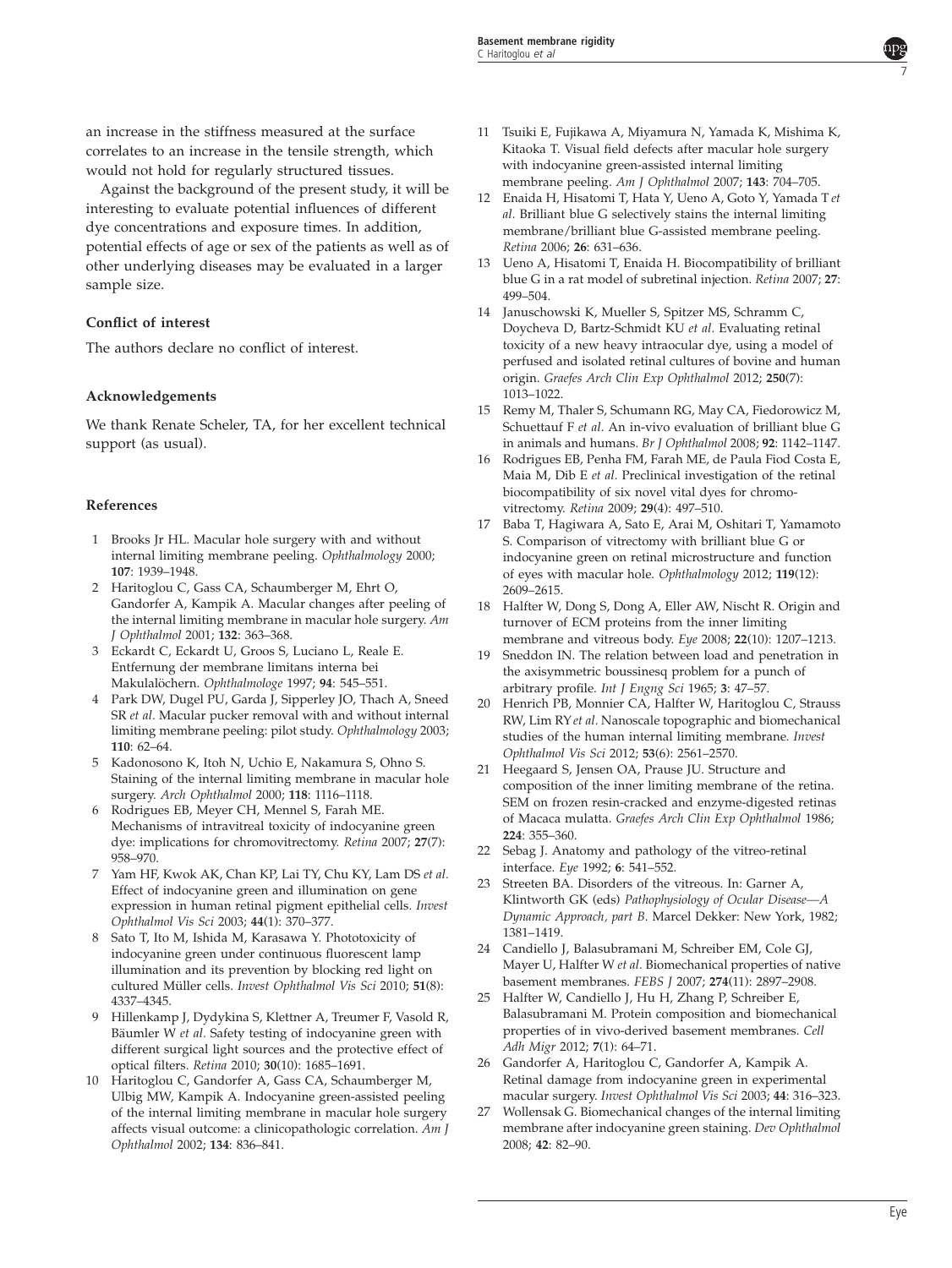<span id="page-6-0"></span>an increase in the stiffness measured at the surface correlates to an increase in the tensile strength, which would not hold for regularly structured tissues.

Against the background of the present study, it will be interesting to evaluate potential influences of different dye concentrations and exposure times. In addition, potential effects of age or sex of the patients as well as of other underlying diseases may be evaluated in a larger sample size.

## Conflict of interest

The authors declare no conflict of interest.

## Acknowledgements

We thank Renate Scheler, TA, for her excellent technical support (as usual).

#### References

- 1 Brooks Jr HL. Macular hole surgery with and without internal limiting membrane peeling. Ophthalmology 2000; 107: 1939–1948.
- 2 Haritoglou C, Gass CA, Schaumberger M, Ehrt O, Gandorfer A, Kampik A. Macular changes after peeling of the internal limiting membrane in macular hole surgery. Am J Ophthalmol 2001; 132: 363–368.
- 3 Eckardt C, Eckardt U, Groos S, Luciano L, Reale E. Entfernung der membrane limitans interna bei Makulalöchern. Ophthalmologe 1997; 94: 545-551.
- 4 Park DW, Dugel PU, Garda J, Sipperley JO, Thach A, Sneed SR et al. Macular pucker removal with and without internal limiting membrane peeling: pilot study. Ophthalmology 2003; 110: 62–64.
- 5 Kadonosono K, Itoh N, Uchio E, Nakamura S, Ohno S. Staining of the internal limiting membrane in macular hole surgery. Arch Ophthalmol 2000; 118: 1116–1118.
- 6 Rodrigues EB, Meyer CH, Mennel S, Farah ME. Mechanisms of intravitreal toxicity of indocyanine green dye: implications for chromovitrectomy. Retina 2007; 27(7): 958–970.
- 7 Yam HF, Kwok AK, Chan KP, Lai TY, Chu KY, Lam DS et al. Effect of indocyanine green and illumination on gene expression in human retinal pigment epithelial cells. Invest Ophthalmol Vis Sci 2003; 44(1): 370–377.
- Sato T, Ito M, Ishida M, Karasawa Y. Phototoxicity of indocyanine green under continuous fluorescent lamp illumination and its prevention by blocking red light on cultured Müller cells. Invest Ophthalmol Vis Sci 2010; 51(8): 4337–4345.
- 9 Hillenkamp J, Dydykina S, Klettner A, Treumer F, Vasold R, Bäumler W et al. Safety testing of indocyanine green with different surgical light sources and the protective effect of optical filters. Retina 2010; 30(10): 1685–1691.
- 10 Haritoglou C, Gandorfer A, Gass CA, Schaumberger M, Ulbig MW, Kampik A. Indocyanine green-assisted peeling of the internal limiting membrane in macular hole surgery affects visual outcome: a clinicopathologic correlation. Am J Ophthalmol 2002; 134: 836–841.
- 11 Tsuiki E, Fujikawa A, Miyamura N, Yamada K, Mishima K, Kitaoka T. Visual field defects after macular hole surgery with indocyanine green-assisted internal limiting membrane peeling. Am J Ophthalmol 2007; 143: 704–705.
- 12 Enaida H, Hisatomi T, Hata Y, Ueno A, Goto Y, Yamada T et al. Brilliant blue G selectively stains the internal limiting membrane/brilliant blue G-assisted membrane peeling. Retina 2006; 26: 631–636.
- 13 Ueno A, Hisatomi T, Enaida H. Biocompatibility of brilliant blue G in a rat model of subretinal injection. Retina 2007; 27: 499–504.
- 14 Januschowski K, Mueller S, Spitzer MS, Schramm C, Doycheva D, Bartz-Schmidt KU et al. Evaluating retinal toxicity of a new heavy intraocular dye, using a model of perfused and isolated retinal cultures of bovine and human origin. Graefes Arch Clin Exp Ophthalmol 2012; 250(7): 1013–1022.
- 15 Remy M, Thaler S, Schumann RG, May CA, Fiedorowicz M, Schuettauf F et al. An in-vivo evaluation of brilliant blue G in animals and humans. Br J Ophthalmol 2008; 92: 1142–1147.
- 16 Rodrigues EB, Penha FM, Farah ME, de Paula Fiod Costa E, Maia M, Dib E et al. Preclinical investigation of the retinal biocompatibility of six novel vital dyes for chromovitrectomy. Retina 2009; 29(4): 497–510.
- 17 Baba T, Hagiwara A, Sato E, Arai M, Oshitari T, Yamamoto S. Comparison of vitrectomy with brilliant blue G or indocyanine green on retinal microstructure and function of eyes with macular hole. Ophthalmology 2012; 119(12): 2609–2615.
- 18 Halfter W, Dong S, Dong A, Eller AW, Nischt R. Origin and turnover of ECM proteins from the inner limiting membrane and vitreous body. Eye 2008; 22(10): 1207–1213.
- Sneddon IN. The relation between load and penetration in the axisymmetric boussinesq problem for a punch of arbitrary profile. Int J Engng Sci 1965; 3: 47–57.
- 20 Henrich PB, Monnier CA, Halfter W, Haritoglou C, Strauss RW, Lim RY et al. Nanoscale topographic and biomechanical studies of the human internal limiting membrane. Invest Ophthalmol Vis Sci 2012; 53(6): 2561–2570.
- 21 Heegaard S, Jensen OA, Prause JU. Structure and composition of the inner limiting membrane of the retina. SEM on frozen resin-cracked and enzyme-digested retinas of Macaca mulatta. Graefes Arch Clin Exp Ophthalmol 1986; 224: 355–360.
- 22 Sebag J. Anatomy and pathology of the vitreo-retinal interface. Eye 1992; 6: 541–552.
- 23 Streeten BA. Disorders of the vitreous. In: Garner A, Klintworth GK (eds) Pathophysiology of Ocular Disease—A Dynamic Approach, part B. Marcel Dekker: New York, 1982; 1381–1419.
- 24 Candiello J, Balasubramani M, Schreiber EM, Cole GJ, Mayer U, Halfter W et al. Biomechanical properties of native basement membranes. FEBS J 2007; 274(11): 2897–2908.
- 25 Halfter W, Candiello J, Hu H, Zhang P, Schreiber E, Balasubramani M. Protein composition and biomechanical properties of in vivo-derived basement membranes. Cell Adh Migr 2012; 7(1): 64–71.
- 26 Gandorfer A, Haritoglou C, Gandorfer A, Kampik A. Retinal damage from indocyanine green in experimental macular surgery. Invest Ophthalmol Vis Sci 2003; 44: 316–323.
- 27 Wollensak G. Biomechanical changes of the internal limiting membrane after indocyanine green staining. Dev Ophthalmol 2008; 42: 82–90.